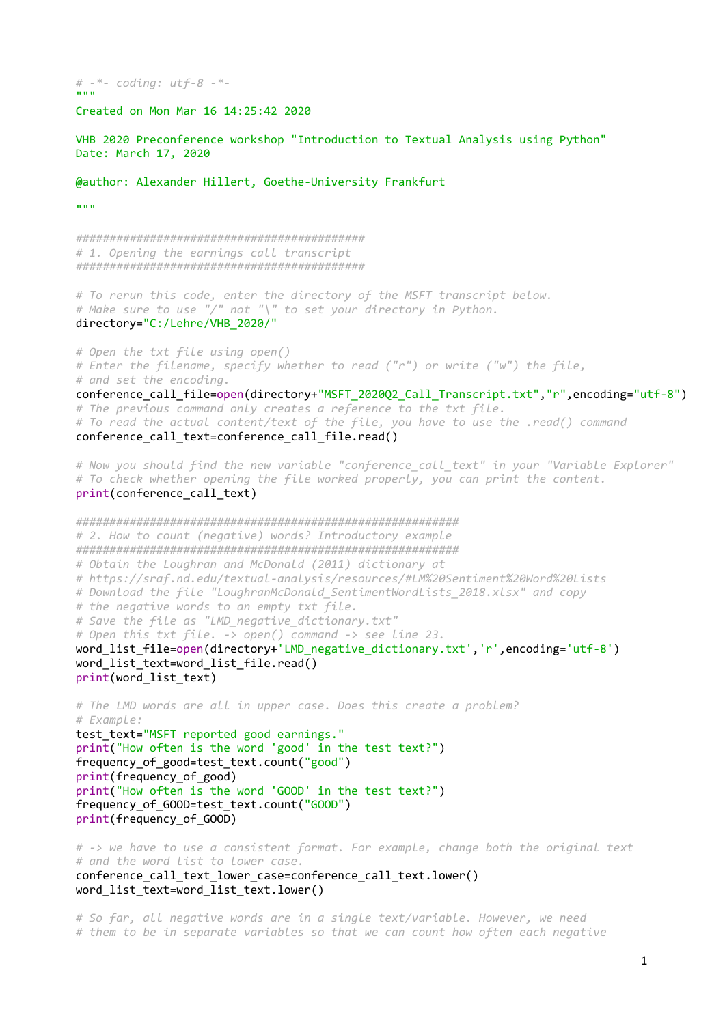#  $-$ \*- coding: utf-8  $-$ \*-"""

Created on Mon Mar 16 14:25:42 2020

VHB 2020 Preconference workshop "Introduction to Textual Analysis using Python" Date: March 17, 2020

@author: Alexander Hillert, Goethe-University Frankfurt

"""

########################################### # 1. Opening the earnings call transcript ###########################################

# To rerun this code, enter the directory of the MSFT transcript below. # Make sure to use "/" not "\" to set your directory in Python. directory="C:/Lehre/VHB\_2020/"

# Open the txt file using open() # Enter the filename, specify whether to read ("r") or write ("w") the file, # and set the encoding. conference call file=open(directory+"MSFT 202002 Call Transcript.txt","r",encoding="utf-8") # The previous command only creates a reference to the txt file. # To read the actual content/text of the file, you have to use the .read() command  $conference$  call text=conference call file.read()

# Now you should find the new variable "conference\_call\_text" in your "Variable Explorer" # To check whether opening the file worked properly, you can print the content. print(conference call text)

######################################################### # 2. How to count (negative) words? Introductory example ######################################################### # Obtain the Loughran and McDonald (2011) dictionary at # https://sraf.nd.edu/textual-analysis/resources/#LM%20Sentiment%20Word%20Lists # Download the file "LoughranMcDonald SentimentWordLists 2018.xlsx" and copy # the negative words to an empty txt file. # Save the file as "LMD negative dictionary.txt" # Open this txt file. -> open() command -> see line 23. word\_list\_file=open(directory+'LMD\_negative\_dictionary.txt','r',encoding='utf-8') word\_list\_text=word\_list\_file.read()  $print(word$  list text)

# The LMD words are all in upper case. Does this create a problem? # Example: test\_text="MSFT reported good earnings." print("How often is the word 'good' in the test text?") frequency\_of\_good=test\_text.count("good") print(frequency\_of\_good) print("How often is the word 'GOOD' in the test text?") frequency of GOOD=test text.count("GOOD") print(frequency\_of\_GOOD)

# -> we have to use a consistent format. For example, change both the original text # and the word list to lower case. conference\_call\_text\_lower\_case=conference\_call\_text.lower() word list text=word list text.lower()

# So far, all negative words are in a single text/variable. However, we need # them to be in separate variables so that we can count how often each negative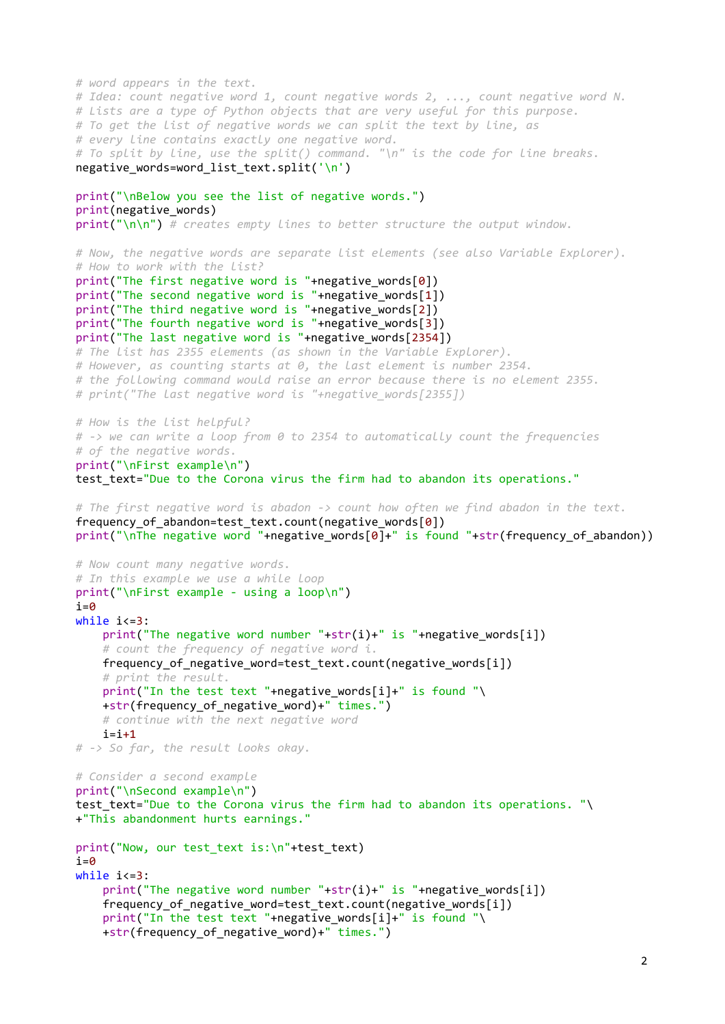```
# word appears in the text.
# Idea: count negative word 1, count negative words 2, ..., count negative word N.
# Lists are a type of Python objects that are very useful for this purpose.
# To get the list of negative words we can split the text by line, as
# every line contains exactly one negative word.
# To split by line, use the split() command. "\n" is the code for line breaks.
negative words=word list text.split('\n')
print("\nBelow you see the list of negative words.")
print(negative_words)
print("n\nu") # creates empty lines to better structure the output window.
# Now, the negative words are separate list elements (see also Variable Explorer).
# How to work with the list?
print("The first negative word is "+negative_words[0])
print("The second negative word is "+negative words[1])
print("The third negative word is "+negative_words[2])
print("The fourth negative word is "+negative_words[3])
print("The last negative word is "+negative_words[2354])
# The list has 2355 elements (as shown in the Variable Explorer).
# However, as counting starts at 0, the last element is number 2354.
# the following command would raise an error because there is no element 2355.
# print("The last negative word is "+negative words[2355])
# How is the list helpful?
# -> we can write a loop from 0 to 2354 to automatically count the frequencies
# of the negative words.
print("\nFirst example\n")
test_text="Due to the Corona virus the firm had to abandon its operations."
# The first negative word is abadon -> count how often we find abadon in the text.
frequency of abandon=test text.count(negative words[0])
print("\nThe negative word "+negative_words[0]+" is found "+str(frequency_of abandon))
# Now count many negative words.
# In this example we use a while loop
print("\nFirst example - using a loop\n")
i=0while i<=3:
   print("The negative word number "+str(i)+" is "+negative words[i])
    # count the frequency of negative word i.
    frequency_of_negative_word=test_text.count(negative_words[i])
   # print the result.
   print("In the test text "+negative words[i]+" is found "\
   +str(frequency_of negative word)+" times.")
    # continue with the next negative word
i=i+1# -> So far, the result looks okay.
# Consider a second example
print("\nSecond example\n")
test text="Due to the Corona virus the firm had to abandon its operations. "\
+"This abandonment hurts earnings."
print("Now, our test_text is:\n"+test_text)
i=0while i<=3:
   print("The negative word number "+str(i)+" is "+negative words[i])
   frequency of negative word=test text.count(negative words[i])
   print("In the test text "+negative words[i]+" is found "\
    +str(frequency_of_negative_word)+" times.")
```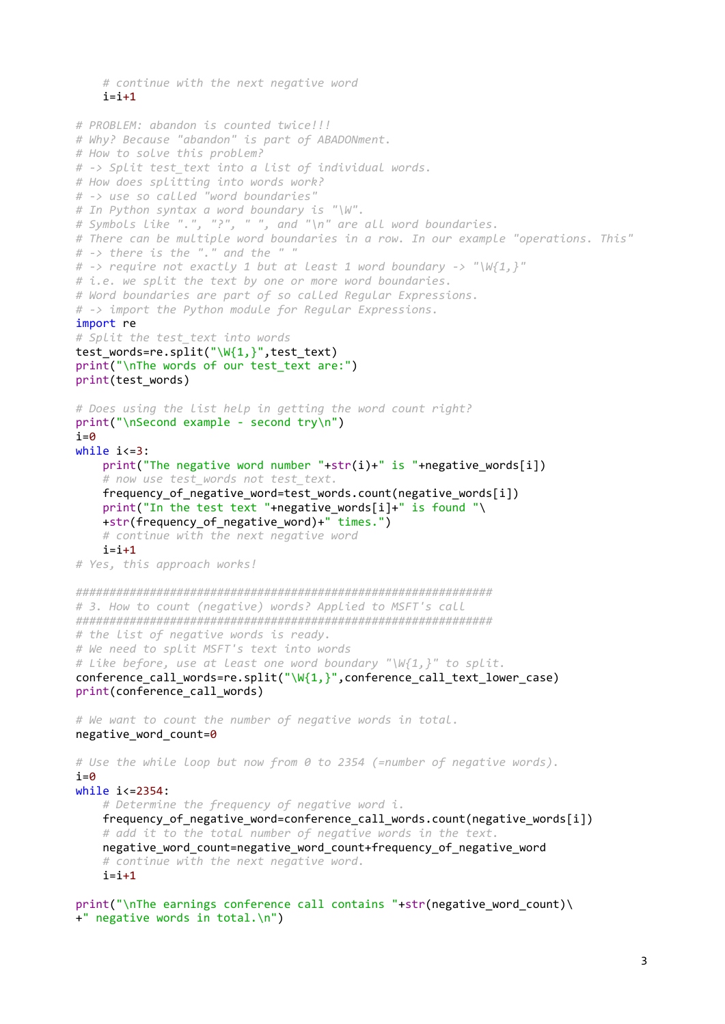```
 # continue with the next negative word
   i=i+1# PROBLEM: abandon is counted twice!!!
# Why? Because "abandon" is part of ABADONment.
# How to solve this problem?
# -> Split test_text into a list of individual words.
# How does splitting into words work?
# -> use so called "word boundaries"
# In Python syntax a word boundary is "\W".
# Symbols like ".", "?", " ", and "\n" are all word boundaries.
# There can be multiple word boundaries in a row. In our example "operations. This"
# -> there is the "." and the " "
# -> require not exactly 1 but at least 1 word boundary -> "W{1}, "
# i.e. we split the text by one or more word boundaries.
# Word boundaries are part of so called Regular Expressions.
# -> import the Python module for Regular Expressions.
import re
# Split the test text into words
test_words=re.split("\W{1,}",test_text)
print("\nThe words of our test text are:")
print(test_words)
# Does using the list help in getting the word count right?
print("\nSecond example - second try\n")
i=0while i \leq 3:
   print("The negative word number "+str(i)+" is "+negative words[i])
     # now use test_words not test_text.
   frequency of negative word=test words.count(negative words[i])
   print("In the test text "+negative words[i]+" is found "\
    +str(frequency_of_negative_word)+" times.")
    # continue with the next negative word
   i=i+1# Yes, this approach works!
##############################################################
# 3. How to count (negative) words? Applied to MSFT's call
##############################################################
# the list of negative words is ready.
# We need to split MSFT's text into words
# Like before, use at least one word boundary "\W{1,}" to split.
conference call words=re.split("\W{1,}",conference call text lower case)
print(conference_call_words)
# We want to count the number of negative words in total.
negative word count=0
# Use the while loop but now from 0 to 2354 (=number of negative words).
i=0while i<=2354:
    # Determine the frequency of negative word i.
   frequency of negative word=conference call words.count(negative words[i])
   # add it to the total number of negative words in the text.
    negative_word_count=negative_word_count+frequency_of_negative_word
   # continue with the next negative word.
   i=i+1print("\nThe earnings conference call contains "+str(negative word count)\
```

```
+" negative words in total.\n")
```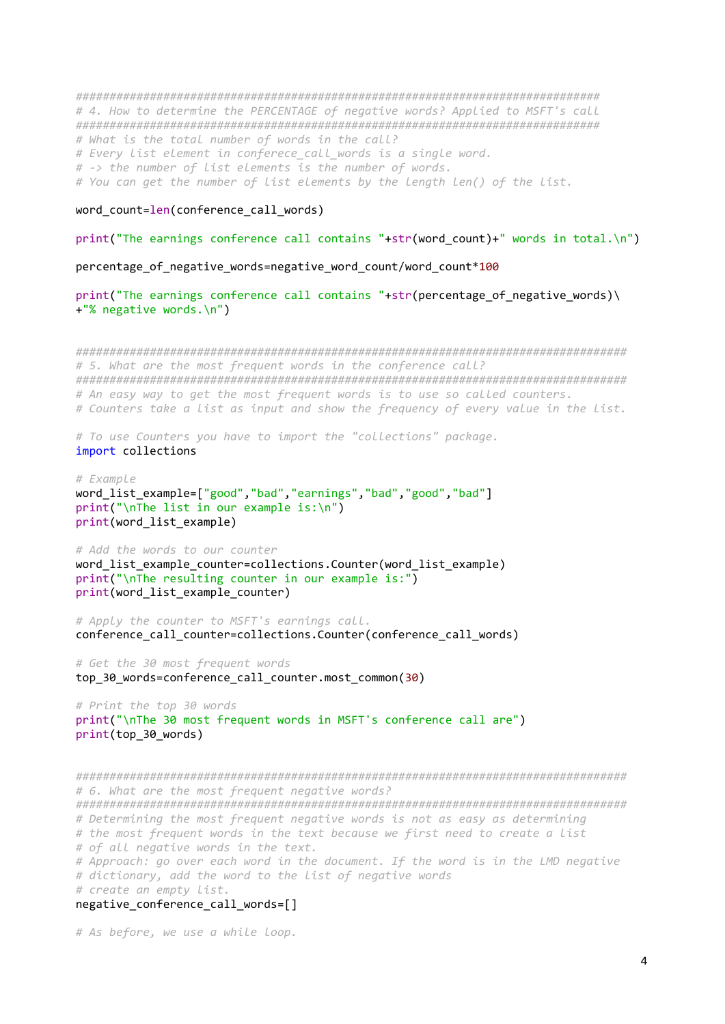############################################################################## # 4. How to determine the PERCENTAGE of negative words? Applied to MSFT's call ############################################################################## # What is the total number of words in the call? # Every list element in conferece call words is a single word. # -> the number of list elements is the number of words. # You can get the number of list elements by the length len() of the list.

## word count=len(conference call words)

## print("The earnings conference call contains "+str(word count)+" words in total.\n")

percentage of negative words=negative word count/word count\*100

print("The earnings conference call contains "+str(percentage of negative words)\ +"% negative words.\n")

################################################################################## # 5. What are the most frequent words in the conference call? ################################################################################## # An easy way to get the most frequent words is to use so called counters. # Counters take a list as input and show the frequency of every value in the list.

# To use Counters you have to import the "collections" package. import collections

```
# Example
word list example=["good","bad","earnings","bad","good","bad"]
print("\nThe list in our example is:\n")
print(word_list_example)
```
# Add the words to our counter word list example counter=collections.Counter(word list example) print("\nThe resulting counter in our example is:") print(word list example counter)

# Apply the counter to MSFT's earnings call. conference call counter=collections.Counter(conference call words)

# Get the 30 most frequent words top 30 words=conference call counter.most common(30)

# Print the top 30 words print("\nThe 30 most frequent words in MSFT's conference call are") print(top\_30\_words)

################################################################################## # 6. What are the most frequent negative words? ################################################################################## # Determining the most frequent negative words is not as easy as determining # the most frequent words in the text because we first need to create a list # of all negative words in the text. # Approach: go over each word in the document. If the word is in the LMD negative # dictionary, add the word to the list of negative words # create an empty list. negative conference call words=[]

# As before, we use a while loop.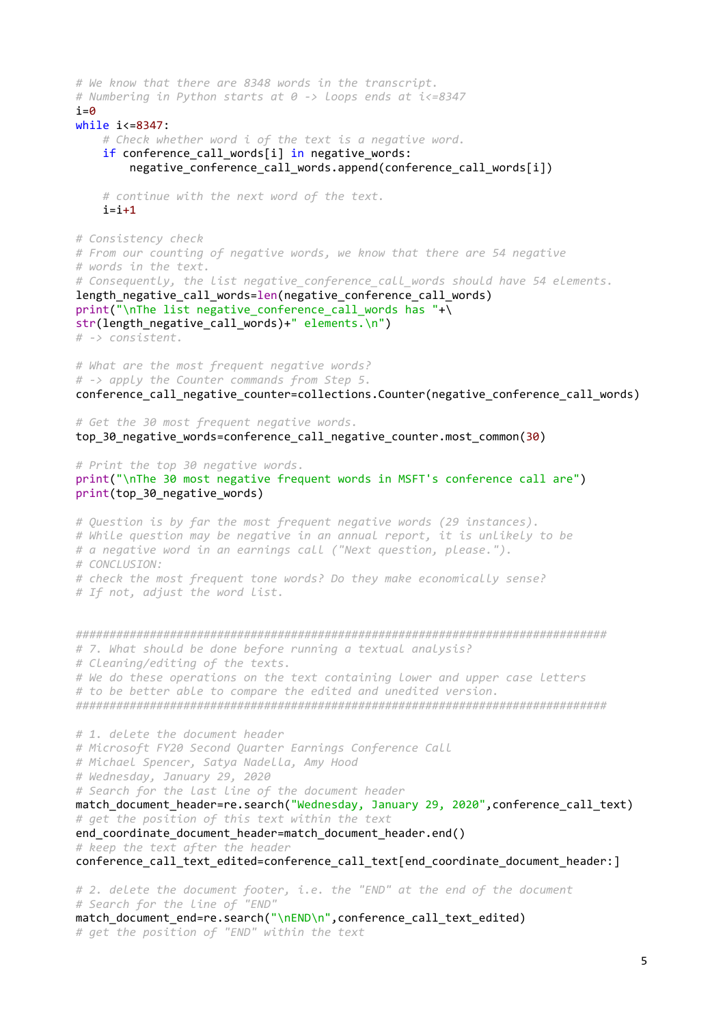# We know that there are 8348 words in the transcript. # Numbering in Python starts at 0 -> loops ends at i<=8347  $i=0$ while i<=8347: # Check whether word i of the text is a negative word. if conference call words[i] in negative words: negative conference call words.append(conference call words[i]) # continue with the next word of the text.  $i=i+1$ # Consistency check # From our counting of negative words, we know that there are 54 negative # words in the text. # Consequently, the list negative\_conference\_call\_words should have 54 elements. length negative call words=len(negative conference call words) print("\nThe list negative\_conference\_call\_words has "+\ str(length\_negative\_call\_words)+" elements.\n") # -> consistent. # What are the most frequent negative words? # -> apply the Counter commands from Step 5. conference call negative counter=collections.Counter(negative conference call words) # Get the 30 most frequent negative words. top 30 negative words=conference call negative counter.most common(30) # Print the top 30 negative words. print("\nThe 30 most negative frequent words in MSFT's conference call are") print(top 30 negative words) # Question is by far the most frequent negative words (29 instances). # While question may be negative in an annual report, it is unlikely to be # a negative word in an earnings call ("Next question, please."). # CONCLUSION: # check the most frequent tone words? Do they make economically sense? # If not, adjust the word list. ############################################################################### # 7. What should be done before running a textual analysis? # Cleaning/editing of the texts. # We do these operations on the text containing lower and upper case letters # to be better able to compare the edited and unedited version. ############################################################################### # 1. delete the document header # Microsoft FY20 Second Quarter Earnings Conference Call # Michael Spencer, Satya Nadella, Amy Hood # Wednesday, January 29, 2020 # Search for the last line of the document header match document header=re.search("Wednesday, January 29, 2020", conference call text) # get the position of this text within the text end coordinate document header=match document header.end() # keep the text after the header conference\_call\_text\_edited=conference\_call\_text[end\_coordinate\_document\_header:] # 2. delete the document footer, i.e. the "END" at the end of the document # Search for the line of "END" match document end=re.search("\nEND\n",conference call text edited) # get the position of "END" within the text

5